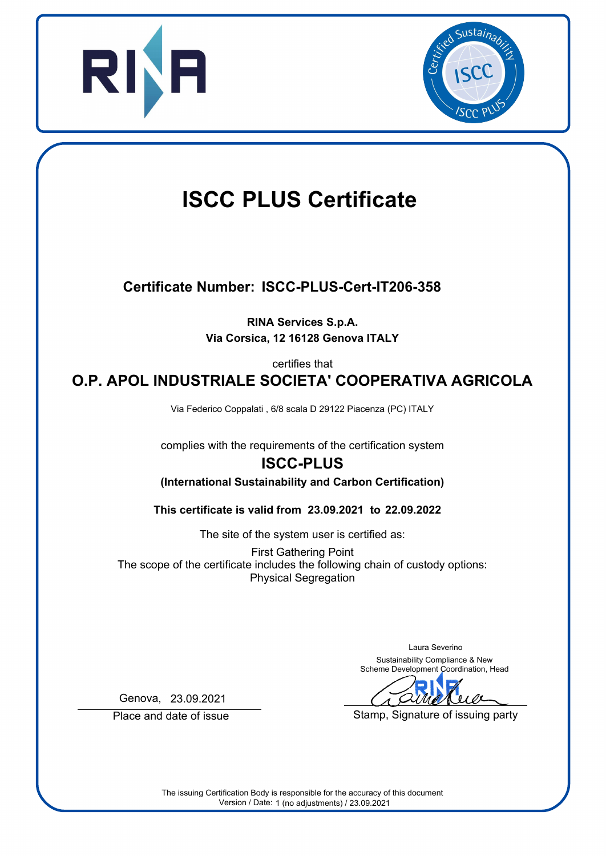



# **ISCC PLUS Certificate**

## **Certificate Number: ISCC-PLUS-Cert-IT206-358**

**RINA Services S.p.A. Via Corsica, 12 16128 Genova ITALY**

certifies that

**O.P. APOL INDUSTRIALE SOCIETA' COOPERATIVA AGRICOLA**

Via Federico Coppalati , 6/8 scala D 29122 Piacenza (PC) ITALY

complies with the requirements of the certification system

## **ISCC-PLUS**

**(International Sustainability and Carbon Certification)**

**23.09.2021 22.09.2022 This certificate is valid from to**

The site of the system user is certified as:

First Gathering Point The scope of the certificate includes the following chain of custody options: Physical Segregation

> Laura Severino Sustainability Compliance & New Scheme Development Coordination, Head

Stamp, Signature of issuing party

Genova, 23.09.2021

Place and date of issue

The issuing Certification Body is responsible for the accuracy of this document Version / Date: 1 (no adjustments) / 23.09.2021